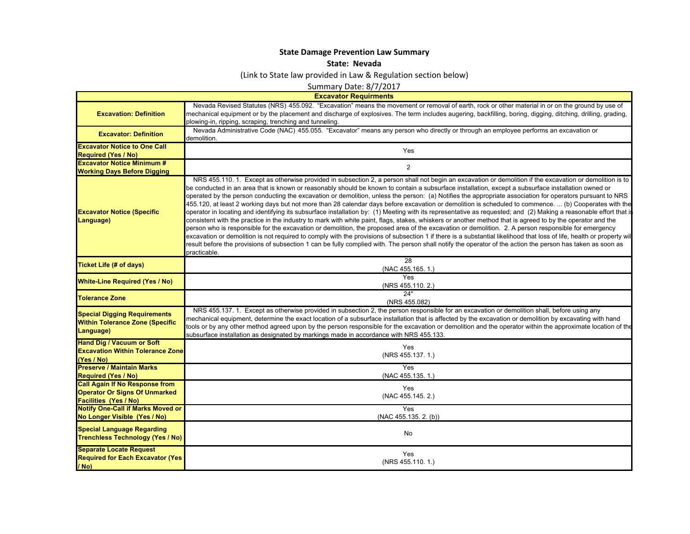## **State Damage Prevention Law Summary**

## **State: Nevada**

(Link to State law provided in Law & Regulation section below)

Summary Date: 8/7/2017

|                                                                                                               | <b>Excavator Requirments</b>                                                                                                                                                                                                                                                                                                                                                                                                                                                                                                                                                                                                                                                                                                                                                                                                                                                                                                                                                                                                                                                                                                                                                                                                                                                                                                                                                                                                                                                              |
|---------------------------------------------------------------------------------------------------------------|-------------------------------------------------------------------------------------------------------------------------------------------------------------------------------------------------------------------------------------------------------------------------------------------------------------------------------------------------------------------------------------------------------------------------------------------------------------------------------------------------------------------------------------------------------------------------------------------------------------------------------------------------------------------------------------------------------------------------------------------------------------------------------------------------------------------------------------------------------------------------------------------------------------------------------------------------------------------------------------------------------------------------------------------------------------------------------------------------------------------------------------------------------------------------------------------------------------------------------------------------------------------------------------------------------------------------------------------------------------------------------------------------------------------------------------------------------------------------------------------|
| <b>Excavation: Definition</b>                                                                                 | Nevada Revised Statutes (NRS) 455.092. "Excavation" means the movement or removal of earth, rock or other material in or on the ground by use of<br>mechanical equipment or by the placement and discharge of explosives. The term includes augering, backfilling, boring, digging, ditching, drilling, grading,<br>plowing-in, ripping, scraping, trenching and tunneling.                                                                                                                                                                                                                                                                                                                                                                                                                                                                                                                                                                                                                                                                                                                                                                                                                                                                                                                                                                                                                                                                                                               |
| <b>Excavator: Definition</b>                                                                                  | Nevada Administrative Code (NAC) 455.055. "Excavator" means any person who directly or through an employee performs an excavation or<br>demolition.                                                                                                                                                                                                                                                                                                                                                                                                                                                                                                                                                                                                                                                                                                                                                                                                                                                                                                                                                                                                                                                                                                                                                                                                                                                                                                                                       |
| <b>Excavator Notice to One Call</b><br><b>Required (Yes / No)</b>                                             | Yes                                                                                                                                                                                                                                                                                                                                                                                                                                                                                                                                                                                                                                                                                                                                                                                                                                                                                                                                                                                                                                                                                                                                                                                                                                                                                                                                                                                                                                                                                       |
| <b>Excavator Notice Minimum #</b><br><b>Working Days Before Digging</b>                                       | $\overline{2}$                                                                                                                                                                                                                                                                                                                                                                                                                                                                                                                                                                                                                                                                                                                                                                                                                                                                                                                                                                                                                                                                                                                                                                                                                                                                                                                                                                                                                                                                            |
| <b>Excavator Notice (Specific</b><br>Language)                                                                | NRS 455.110. 1. Except as otherwise provided in subsection 2, a person shall not begin an excavation or demolition if the excavation or demolition is to<br>be conducted in an area that is known or reasonably should be known to contain a subsurface installation, except a subsurface installation owned or<br>operated by the person conducting the excavation or demolition, unless the person: (a) Notifies the appropriate association for operators pursuant to NRS<br>455.120, at least 2 working days but not more than 28 calendar days before excavation or demolition is scheduled to commence.  (b) Cooperates with the<br>operator in locating and identifying its subsurface installation by: (1) Meeting with its representative as requested; and (2) Making a reasonable effort that is<br>consistent with the practice in the industry to mark with white paint, flags, stakes, whiskers or another method that is agreed to by the operator and the<br>person who is responsible for the excavation or demolition, the proposed area of the excavation or demolition. 2. A person responsible for emergency<br>excavation or demolition is not required to comply with the provisions of subsection 1 if there is a substantial likelihood that loss of life, health or property wil<br>result before the provisions of subsection 1 can be fully complied with. The person shall notify the operator of the action the person has taken as soon as<br>practicable. |
| <b>Ticket Life (# of days)</b>                                                                                | 28<br>(NAC 455.165.1.)                                                                                                                                                                                                                                                                                                                                                                                                                                                                                                                                                                                                                                                                                                                                                                                                                                                                                                                                                                                                                                                                                                                                                                                                                                                                                                                                                                                                                                                                    |
| <b>White-Line Required (Yes / No)</b>                                                                         | Yes<br>(NRS 455.110.2.)                                                                                                                                                                                                                                                                                                                                                                                                                                                                                                                                                                                                                                                                                                                                                                                                                                                                                                                                                                                                                                                                                                                                                                                                                                                                                                                                                                                                                                                                   |
| <b>Tolerance Zone</b>                                                                                         | 24"<br>(NRS 455.082)                                                                                                                                                                                                                                                                                                                                                                                                                                                                                                                                                                                                                                                                                                                                                                                                                                                                                                                                                                                                                                                                                                                                                                                                                                                                                                                                                                                                                                                                      |
| <b>Special Digging Requirements</b><br><b>Within Tolerance Zone (Specific</b><br>Language)                    | NRS 455.137. 1. Except as otherwise provided in subsection 2, the person responsible for an excavation or demolition shall, before using any<br>mechanical equipment, determine the exact location of a subsurface installation that is affected by the excavation or demolition by excavating with hand<br>tools or by any other method agreed upon by the person responsible for the excavation or demolition and the operator within the approximate location of the<br>subsurface installation as designated by markings made in accordance with NRS 455.133.                                                                                                                                                                                                                                                                                                                                                                                                                                                                                                                                                                                                                                                                                                                                                                                                                                                                                                                         |
| <b>Hand Dig / Vacuum or Soft</b><br><b>Excavation Within Tolerance Zone</b><br>(Yes / No)                     | Yes<br>(NRS 455.137.1.)                                                                                                                                                                                                                                                                                                                                                                                                                                                                                                                                                                                                                                                                                                                                                                                                                                                                                                                                                                                                                                                                                                                                                                                                                                                                                                                                                                                                                                                                   |
| <b>Preserve / Maintain Marks</b><br><b>Required (Yes / No)</b>                                                | Yes<br>(NAC 455.135.1.)                                                                                                                                                                                                                                                                                                                                                                                                                                                                                                                                                                                                                                                                                                                                                                                                                                                                                                                                                                                                                                                                                                                                                                                                                                                                                                                                                                                                                                                                   |
| <b>Call Again If No Response from</b><br><b>Operator Or Signs Of Unmarked</b><br><b>Facilities (Yes / No)</b> | Yes<br>(NAC 455.145.2.)                                                                                                                                                                                                                                                                                                                                                                                                                                                                                                                                                                                                                                                                                                                                                                                                                                                                                                                                                                                                                                                                                                                                                                                                                                                                                                                                                                                                                                                                   |
| <b>Notify One-Call if Marks Moved or</b><br>No Longer Visible (Yes / No)                                      | Yes<br>(NAC 455.135. 2. (b))                                                                                                                                                                                                                                                                                                                                                                                                                                                                                                                                                                                                                                                                                                                                                                                                                                                                                                                                                                                                                                                                                                                                                                                                                                                                                                                                                                                                                                                              |
| <b>Special Language Regarding</b><br><b>Trenchless Technology (Yes / No)</b>                                  | No                                                                                                                                                                                                                                                                                                                                                                                                                                                                                                                                                                                                                                                                                                                                                                                                                                                                                                                                                                                                                                                                                                                                                                                                                                                                                                                                                                                                                                                                                        |
| <b>Separate Locate Request</b><br><b>Required for Each Excavator (Yes</b><br>/ No)                            | Yes<br>(NRS 455.110. 1.)                                                                                                                                                                                                                                                                                                                                                                                                                                                                                                                                                                                                                                                                                                                                                                                                                                                                                                                                                                                                                                                                                                                                                                                                                                                                                                                                                                                                                                                                  |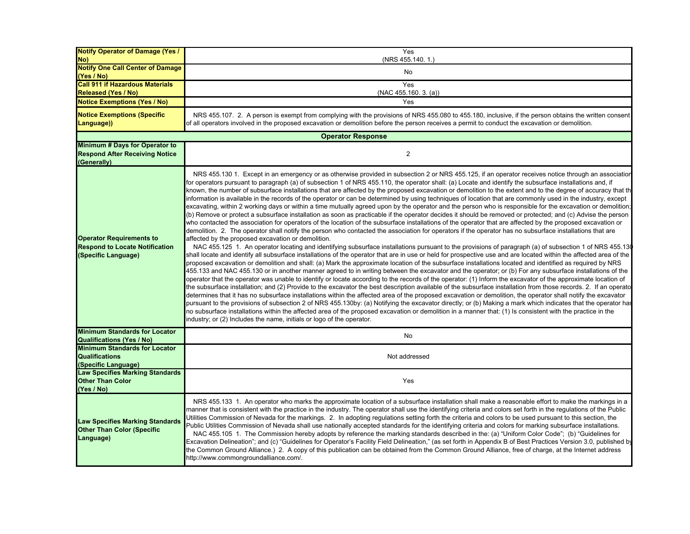| <b>Notify Operator of Damage (Yes /</b><br>No)                                                  | Yes<br>(NRS 455.140. 1.)                                                                                                                                                                                                                                                                                                                                                                                                                                                                                                                                                                                                                                                                                                                                                                                                                                                                                                                                                                                                                                                                                                                                                                                                                                                                                                                                                                                                                                                                                                                                                                                                                                                                                                                                                                                                                                                                                                                                                                                                                                                                                                                                                                                                                                                                                                                                                                                                                                                                                                                                                                                                                                                                                                                                                                                                                                                                                                              |
|-------------------------------------------------------------------------------------------------|---------------------------------------------------------------------------------------------------------------------------------------------------------------------------------------------------------------------------------------------------------------------------------------------------------------------------------------------------------------------------------------------------------------------------------------------------------------------------------------------------------------------------------------------------------------------------------------------------------------------------------------------------------------------------------------------------------------------------------------------------------------------------------------------------------------------------------------------------------------------------------------------------------------------------------------------------------------------------------------------------------------------------------------------------------------------------------------------------------------------------------------------------------------------------------------------------------------------------------------------------------------------------------------------------------------------------------------------------------------------------------------------------------------------------------------------------------------------------------------------------------------------------------------------------------------------------------------------------------------------------------------------------------------------------------------------------------------------------------------------------------------------------------------------------------------------------------------------------------------------------------------------------------------------------------------------------------------------------------------------------------------------------------------------------------------------------------------------------------------------------------------------------------------------------------------------------------------------------------------------------------------------------------------------------------------------------------------------------------------------------------------------------------------------------------------------------------------------------------------------------------------------------------------------------------------------------------------------------------------------------------------------------------------------------------------------------------------------------------------------------------------------------------------------------------------------------------------------------------------------------------------------------------------------------------------|
| <b>Notify One Call Center of Damage</b>                                                         | No                                                                                                                                                                                                                                                                                                                                                                                                                                                                                                                                                                                                                                                                                                                                                                                                                                                                                                                                                                                                                                                                                                                                                                                                                                                                                                                                                                                                                                                                                                                                                                                                                                                                                                                                                                                                                                                                                                                                                                                                                                                                                                                                                                                                                                                                                                                                                                                                                                                                                                                                                                                                                                                                                                                                                                                                                                                                                                                                    |
| (Yes / No)<br><b>Call 911 if Hazardous Materials</b>                                            | Yes                                                                                                                                                                                                                                                                                                                                                                                                                                                                                                                                                                                                                                                                                                                                                                                                                                                                                                                                                                                                                                                                                                                                                                                                                                                                                                                                                                                                                                                                                                                                                                                                                                                                                                                                                                                                                                                                                                                                                                                                                                                                                                                                                                                                                                                                                                                                                                                                                                                                                                                                                                                                                                                                                                                                                                                                                                                                                                                                   |
| <b>Released (Yes / No)</b>                                                                      | (NAC 455.160. 3. (a))                                                                                                                                                                                                                                                                                                                                                                                                                                                                                                                                                                                                                                                                                                                                                                                                                                                                                                                                                                                                                                                                                                                                                                                                                                                                                                                                                                                                                                                                                                                                                                                                                                                                                                                                                                                                                                                                                                                                                                                                                                                                                                                                                                                                                                                                                                                                                                                                                                                                                                                                                                                                                                                                                                                                                                                                                                                                                                                 |
| <b>Notice Exemptions (Yes / No)</b>                                                             | Yes                                                                                                                                                                                                                                                                                                                                                                                                                                                                                                                                                                                                                                                                                                                                                                                                                                                                                                                                                                                                                                                                                                                                                                                                                                                                                                                                                                                                                                                                                                                                                                                                                                                                                                                                                                                                                                                                                                                                                                                                                                                                                                                                                                                                                                                                                                                                                                                                                                                                                                                                                                                                                                                                                                                                                                                                                                                                                                                                   |
| <b>Notice Exemptions (Specific</b><br>Language))                                                | NRS 455.107. 2. A person is exempt from complying with the provisions of NRS 455.080 to 455.180, inclusive, if the person obtains the written consent<br>of all operators involved in the proposed excavation or demolition before the person receives a permit to conduct the excavation or demolition.                                                                                                                                                                                                                                                                                                                                                                                                                                                                                                                                                                                                                                                                                                                                                                                                                                                                                                                                                                                                                                                                                                                                                                                                                                                                                                                                                                                                                                                                                                                                                                                                                                                                                                                                                                                                                                                                                                                                                                                                                                                                                                                                                                                                                                                                                                                                                                                                                                                                                                                                                                                                                              |
|                                                                                                 | <b>Operator Response</b>                                                                                                                                                                                                                                                                                                                                                                                                                                                                                                                                                                                                                                                                                                                                                                                                                                                                                                                                                                                                                                                                                                                                                                                                                                                                                                                                                                                                                                                                                                                                                                                                                                                                                                                                                                                                                                                                                                                                                                                                                                                                                                                                                                                                                                                                                                                                                                                                                                                                                                                                                                                                                                                                                                                                                                                                                                                                                                              |
| <b>Minimum # Days for Operator to</b><br><b>Respond After Receiving Notice</b><br>(Generally)   | 2                                                                                                                                                                                                                                                                                                                                                                                                                                                                                                                                                                                                                                                                                                                                                                                                                                                                                                                                                                                                                                                                                                                                                                                                                                                                                                                                                                                                                                                                                                                                                                                                                                                                                                                                                                                                                                                                                                                                                                                                                                                                                                                                                                                                                                                                                                                                                                                                                                                                                                                                                                                                                                                                                                                                                                                                                                                                                                                                     |
| <b>Operator Requirements to</b><br><b>Respond to Locate Notification</b><br>(Specific Language) | NRS 455.130 1. Except in an emergency or as otherwise provided in subsection 2 or NRS 455.125, if an operator receives notice through an associatior<br>for operators pursuant to paragraph (a) of subsection 1 of NRS 455.110, the operator shall: (a) Locate and identify the subsurface installations and, if<br>known, the number of subsurface installations that are affected by the proposed excavation or demolition to the extent and to the degree of accuracy that th<br>information is available in the records of the operator or can be determined by using techniques of location that are commonly used in the industry, except<br>excavating, within 2 working days or within a time mutually agreed upon by the operator and the person who is responsible for the excavation or demolition;<br>(b) Remove or protect a subsurface installation as soon as practicable if the operator decides it should be removed or protected; and (c) Advise the person<br>who contacted the association for operators of the location of the subsurface installations of the operator that are affected by the proposed excavation or<br>demolition. 2. The operator shall notify the person who contacted the association for operators if the operator has no subsurface installations that are<br>affected by the proposed excavation or demolition.<br>NAC 455.125 1. An operator locating and identifying subsurface installations pursuant to the provisions of paragraph (a) of subsection 1 of NRS 455.130<br>shall locate and identify all subsurface installations of the operator that are in use or held for prospective use and are located within the affected area of the<br>proposed excavation or demolition and shall: (a) Mark the approximate location of the subsurface installations located and identified as required by NRS<br>455.133 and NAC 455.130 or in another manner agreed to in writing between the excavator and the operator; or (b) For any subsurface installations of the<br>operator that the operator was unable to identify or locate according to the records of the operator: (1) Inform the excavator of the approximate location of<br>the subsurface installation; and (2) Provide to the excavator the best description available of the subsurface installation from those records. 2. If an operato<br>determines that it has no subsurface installations within the affected area of the proposed excavation or demolition, the operator shall notify the excavator<br>pursuant to the provisions of subsection 2 of NRS 455.130by: (a) Notifying the excavator directly; or (b) Making a mark which indicates that the operator has<br>no subsurface installations within the affected area of the proposed excavation or demolition in a manner that: (1) Is consistent with the practice in the<br>industry; or (2) Includes the name, initials or logo of the operator. |
| <b>Minimum Standards for Locator</b>                                                            | No                                                                                                                                                                                                                                                                                                                                                                                                                                                                                                                                                                                                                                                                                                                                                                                                                                                                                                                                                                                                                                                                                                                                                                                                                                                                                                                                                                                                                                                                                                                                                                                                                                                                                                                                                                                                                                                                                                                                                                                                                                                                                                                                                                                                                                                                                                                                                                                                                                                                                                                                                                                                                                                                                                                                                                                                                                                                                                                                    |
| <b>Qualifications (Yes / No)</b><br><b>Minimum Standards for Locator</b>                        |                                                                                                                                                                                                                                                                                                                                                                                                                                                                                                                                                                                                                                                                                                                                                                                                                                                                                                                                                                                                                                                                                                                                                                                                                                                                                                                                                                                                                                                                                                                                                                                                                                                                                                                                                                                                                                                                                                                                                                                                                                                                                                                                                                                                                                                                                                                                                                                                                                                                                                                                                                                                                                                                                                                                                                                                                                                                                                                                       |
| <b>Qualifications</b>                                                                           | Not addressed                                                                                                                                                                                                                                                                                                                                                                                                                                                                                                                                                                                                                                                                                                                                                                                                                                                                                                                                                                                                                                                                                                                                                                                                                                                                                                                                                                                                                                                                                                                                                                                                                                                                                                                                                                                                                                                                                                                                                                                                                                                                                                                                                                                                                                                                                                                                                                                                                                                                                                                                                                                                                                                                                                                                                                                                                                                                                                                         |
| (Specific Language)                                                                             |                                                                                                                                                                                                                                                                                                                                                                                                                                                                                                                                                                                                                                                                                                                                                                                                                                                                                                                                                                                                                                                                                                                                                                                                                                                                                                                                                                                                                                                                                                                                                                                                                                                                                                                                                                                                                                                                                                                                                                                                                                                                                                                                                                                                                                                                                                                                                                                                                                                                                                                                                                                                                                                                                                                                                                                                                                                                                                                                       |
| <b>Law Specifies Marking Standards</b>                                                          |                                                                                                                                                                                                                                                                                                                                                                                                                                                                                                                                                                                                                                                                                                                                                                                                                                                                                                                                                                                                                                                                                                                                                                                                                                                                                                                                                                                                                                                                                                                                                                                                                                                                                                                                                                                                                                                                                                                                                                                                                                                                                                                                                                                                                                                                                                                                                                                                                                                                                                                                                                                                                                                                                                                                                                                                                                                                                                                                       |
| <b>Other Than Color</b>                                                                         | Yes                                                                                                                                                                                                                                                                                                                                                                                                                                                                                                                                                                                                                                                                                                                                                                                                                                                                                                                                                                                                                                                                                                                                                                                                                                                                                                                                                                                                                                                                                                                                                                                                                                                                                                                                                                                                                                                                                                                                                                                                                                                                                                                                                                                                                                                                                                                                                                                                                                                                                                                                                                                                                                                                                                                                                                                                                                                                                                                                   |
| (Yes / No)                                                                                      |                                                                                                                                                                                                                                                                                                                                                                                                                                                                                                                                                                                                                                                                                                                                                                                                                                                                                                                                                                                                                                                                                                                                                                                                                                                                                                                                                                                                                                                                                                                                                                                                                                                                                                                                                                                                                                                                                                                                                                                                                                                                                                                                                                                                                                                                                                                                                                                                                                                                                                                                                                                                                                                                                                                                                                                                                                                                                                                                       |
| <b>Law Specifies Marking Standards</b><br><b>Other Than Color (Specific</b><br>Language)        | NRS 455.133 1. An operator who marks the approximate location of a subsurface installation shall make a reasonable effort to make the markings in a<br>manner that is consistent with the practice in the industry. The operator shall use the identifying criteria and colors set forth in the regulations of the Public<br>Utilities Commission of Nevada for the markings. 2. In adopting regulations setting forth the criteria and colors to be used pursuant to this section, the<br>Public Utilities Commission of Nevada shall use nationally accepted standards for the identifying criteria and colors for marking subsurface installations.<br>NAC 455.105 1. The Commission hereby adopts by reference the marking standards described in the: (a) "Uniform Color Code"; (b) "Guidelines for<br>Excavation Delineation"; and (c) "Guidelines for Operator's Facility Field Delineation," (as set forth in Appendix B of Best Practices Version 3.0, published by<br>the Common Ground Alliance.) 2. A copy of this publication can be obtained from the Common Ground Alliance, free of charge, at the Internet address<br>http://www.commongroundalliance.com/.                                                                                                                                                                                                                                                                                                                                                                                                                                                                                                                                                                                                                                                                                                                                                                                                                                                                                                                                                                                                                                                                                                                                                                                                                                                                                                                                                                                                                                                                                                                                                                                                                                                                                                                                                          |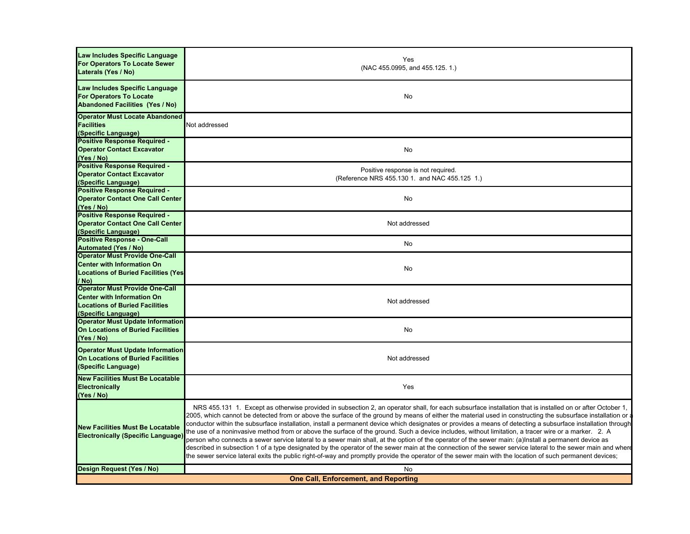| Law Includes Specific Language<br>For Operators To Locate Sewer<br>Laterals (Yes / No)                                                     | Yes<br>(NAC 455.0995, and 455.125. 1.)                                                                                                                                                                                                                                                                                                                                                                                                                                                                                                                                                                                                                                                                                                                                                                                                                                                                                                                                                                                                                                                                                               |  |
|--------------------------------------------------------------------------------------------------------------------------------------------|--------------------------------------------------------------------------------------------------------------------------------------------------------------------------------------------------------------------------------------------------------------------------------------------------------------------------------------------------------------------------------------------------------------------------------------------------------------------------------------------------------------------------------------------------------------------------------------------------------------------------------------------------------------------------------------------------------------------------------------------------------------------------------------------------------------------------------------------------------------------------------------------------------------------------------------------------------------------------------------------------------------------------------------------------------------------------------------------------------------------------------------|--|
| Law Includes Specific Language<br><b>For Operators To Locate</b><br><b>Abandoned Facilities (Yes / No)</b>                                 | No                                                                                                                                                                                                                                                                                                                                                                                                                                                                                                                                                                                                                                                                                                                                                                                                                                                                                                                                                                                                                                                                                                                                   |  |
| <b>Operator Must Locate Abandoned</b><br><b>Facilities</b><br>(Specific Language)                                                          | Not addressed                                                                                                                                                                                                                                                                                                                                                                                                                                                                                                                                                                                                                                                                                                                                                                                                                                                                                                                                                                                                                                                                                                                        |  |
| <b>Positive Response Required -</b><br><b>Operator Contact Excavator</b><br>(Yes / No)                                                     | No                                                                                                                                                                                                                                                                                                                                                                                                                                                                                                                                                                                                                                                                                                                                                                                                                                                                                                                                                                                                                                                                                                                                   |  |
| Positive Response Required -<br><b>Operator Contact Excavator</b><br>(Specific Language)                                                   | Positive response is not required.<br>(Reference NRS 455.130 1. and NAC 455.125 1.)                                                                                                                                                                                                                                                                                                                                                                                                                                                                                                                                                                                                                                                                                                                                                                                                                                                                                                                                                                                                                                                  |  |
| Positive Response Required -<br><b>Operator Contact One Call Center</b><br>(Yes / No)                                                      | No                                                                                                                                                                                                                                                                                                                                                                                                                                                                                                                                                                                                                                                                                                                                                                                                                                                                                                                                                                                                                                                                                                                                   |  |
| <b>Positive Response Required -</b><br><b>Operator Contact One Call Center</b><br>(Specific Language)                                      | Not addressed                                                                                                                                                                                                                                                                                                                                                                                                                                                                                                                                                                                                                                                                                                                                                                                                                                                                                                                                                                                                                                                                                                                        |  |
| <b>Positive Response - One-Call</b><br><b>Automated (Yes / No)</b>                                                                         | No                                                                                                                                                                                                                                                                                                                                                                                                                                                                                                                                                                                                                                                                                                                                                                                                                                                                                                                                                                                                                                                                                                                                   |  |
| <b>Operator Must Provide One-Call</b><br><b>Center with Information On</b><br><b>Locations of Buried Facilities (Yes)</b><br>/ No)         | No                                                                                                                                                                                                                                                                                                                                                                                                                                                                                                                                                                                                                                                                                                                                                                                                                                                                                                                                                                                                                                                                                                                                   |  |
| <b>Operator Must Provide One-Call</b><br><b>Center with Information On</b><br><b>Locations of Buried Facilities</b><br>(Specific Language) | Not addressed                                                                                                                                                                                                                                                                                                                                                                                                                                                                                                                                                                                                                                                                                                                                                                                                                                                                                                                                                                                                                                                                                                                        |  |
| <b>Operator Must Update Information</b><br>On Locations of Buried Facilities<br>(Yes / No)                                                 | No                                                                                                                                                                                                                                                                                                                                                                                                                                                                                                                                                                                                                                                                                                                                                                                                                                                                                                                                                                                                                                                                                                                                   |  |
| <b>Operator Must Update Information</b><br><b>On Locations of Buried Facilities</b><br>(Specific Language)                                 | Not addressed                                                                                                                                                                                                                                                                                                                                                                                                                                                                                                                                                                                                                                                                                                                                                                                                                                                                                                                                                                                                                                                                                                                        |  |
| <b>New Facilities Must Be Locatable</b><br><b>Electronically</b><br>(Yes / No)                                                             | Yes                                                                                                                                                                                                                                                                                                                                                                                                                                                                                                                                                                                                                                                                                                                                                                                                                                                                                                                                                                                                                                                                                                                                  |  |
| <b>New Facilities Must Be Locatable</b><br><b>Electronically (Specific Language)</b>                                                       | NRS 455.131 1. Except as otherwise provided in subsection 2, an operator shall, for each subsurface installation that is installed on or after October 1,<br>2005, which cannot be detected from or above the surface of the ground by means of either the material used in constructing the subsurface installation or a<br>conductor within the subsurface installation, install a permanent device which designates or provides a means of detecting a subsurface installation through<br>the use of a noninvasive method from or above the surface of the ground. Such a device includes, without limitation, a tracer wire or a marker. 2. A<br>person who connects a sewer service lateral to a sewer main shall, at the option of the operator of the sewer main: (a)Install a permanent device as<br>described in subsection 1 of a type designated by the operator of the sewer main at the connection of the sewer service lateral to the sewer main and where<br>the sewer service lateral exits the public right-of-way and promptly provide the operator of the sewer main with the location of such permanent devices; |  |
| Design Request (Yes / No)                                                                                                                  | No                                                                                                                                                                                                                                                                                                                                                                                                                                                                                                                                                                                                                                                                                                                                                                                                                                                                                                                                                                                                                                                                                                                                   |  |
| <b>One Call, Enforcement, and Reporting</b>                                                                                                |                                                                                                                                                                                                                                                                                                                                                                                                                                                                                                                                                                                                                                                                                                                                                                                                                                                                                                                                                                                                                                                                                                                                      |  |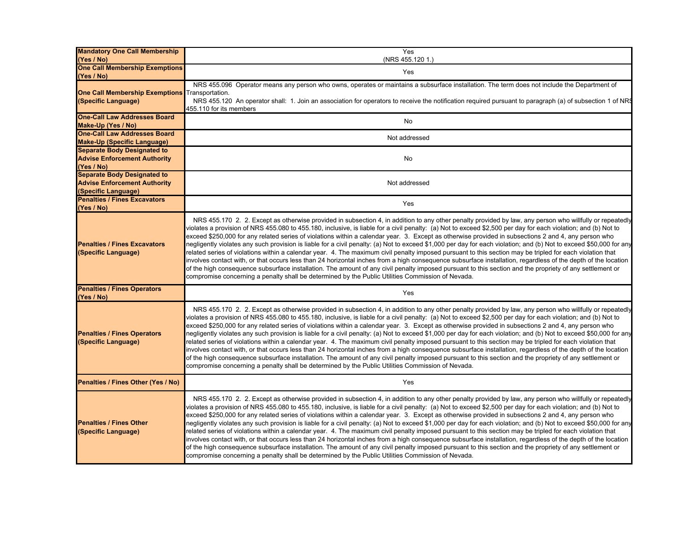| <b>Mandatory One Call Membership</b><br>(Yes / No)                                               | Yes<br>(NRS 455.120 1.)                                                                                                                                                                                                                                                                                                                                                                                                                                                                                                                                                                                                                                                                                                                                                                                                                                                                                                                                                                                                                                                                                                                                                                                                                                  |
|--------------------------------------------------------------------------------------------------|----------------------------------------------------------------------------------------------------------------------------------------------------------------------------------------------------------------------------------------------------------------------------------------------------------------------------------------------------------------------------------------------------------------------------------------------------------------------------------------------------------------------------------------------------------------------------------------------------------------------------------------------------------------------------------------------------------------------------------------------------------------------------------------------------------------------------------------------------------------------------------------------------------------------------------------------------------------------------------------------------------------------------------------------------------------------------------------------------------------------------------------------------------------------------------------------------------------------------------------------------------|
| <b>One Call Membership Exemptions</b><br>(Yes / No)                                              | Yes                                                                                                                                                                                                                                                                                                                                                                                                                                                                                                                                                                                                                                                                                                                                                                                                                                                                                                                                                                                                                                                                                                                                                                                                                                                      |
| <b>One Call Membership Exemptions</b> Transportation.<br>(Specific Language)                     | NRS 455.096 Operator means any person who owns, operates or maintains a subsurface installation. The term does not include the Department of<br>NRS 455.120 An operator shall: 1. Join an association for operators to receive the notification required pursuant to paragraph (a) of subsection 1 of NR\$<br>455.110 for its members                                                                                                                                                                                                                                                                                                                                                                                                                                                                                                                                                                                                                                                                                                                                                                                                                                                                                                                    |
| <b>One-Call Law Addresses Board</b><br>Make-Up (Yes / No)                                        | No                                                                                                                                                                                                                                                                                                                                                                                                                                                                                                                                                                                                                                                                                                                                                                                                                                                                                                                                                                                                                                                                                                                                                                                                                                                       |
| <b>One-Call Law Addresses Board</b><br><b>Make-Up (Specific Language)</b>                        | Not addressed                                                                                                                                                                                                                                                                                                                                                                                                                                                                                                                                                                                                                                                                                                                                                                                                                                                                                                                                                                                                                                                                                                                                                                                                                                            |
| <b>Separate Body Designated to</b><br><b>Advise Enforcement Authority</b><br>(Yes / No)          | No                                                                                                                                                                                                                                                                                                                                                                                                                                                                                                                                                                                                                                                                                                                                                                                                                                                                                                                                                                                                                                                                                                                                                                                                                                                       |
| <b>Separate Body Designated to</b><br><b>Advise Enforcement Authority</b><br>(Specific Language) | Not addressed                                                                                                                                                                                                                                                                                                                                                                                                                                                                                                                                                                                                                                                                                                                                                                                                                                                                                                                                                                                                                                                                                                                                                                                                                                            |
| <b>Penalties / Fines Excavators</b><br>(Yes / No)                                                | Yes                                                                                                                                                                                                                                                                                                                                                                                                                                                                                                                                                                                                                                                                                                                                                                                                                                                                                                                                                                                                                                                                                                                                                                                                                                                      |
| <b>Penalties / Fines Excavators</b><br>(Specific Language)                                       | NRS 455.170 2. 2. Except as otherwise provided in subsection 4, in addition to any other penalty provided by law, any person who willfully or repeatedly<br>violates a provision of NRS 455.080 to 455.180, inclusive, is liable for a civil penalty: (a) Not to exceed \$2,500 per day for each violation; and (b) Not to<br>exceed \$250,000 for any related series of violations within a calendar year. 3. Except as otherwise provided in subsections 2 and 4, any person who<br>negligently violates any such provision is liable for a civil penalty: (a) Not to exceed \$1,000 per day for each violation; and (b) Not to exceed \$50,000 for any<br>related series of violations within a calendar year. 4. The maximum civil penalty imposed pursuant to this section may be tripled for each violation that<br>involves contact with, or that occurs less than 24 horizontal inches from a high consequence subsurface installation, regardless of the depth of the location<br>of the high consequence subsurface installation. The amount of any civil penalty imposed pursuant to this section and the propriety of any settlement or<br>compromise concerning a penalty shall be determined by the Public Utilities Commission of Nevada. |
| <b>Penalties / Fines Operators</b><br>(Yes / No)                                                 | Yes                                                                                                                                                                                                                                                                                                                                                                                                                                                                                                                                                                                                                                                                                                                                                                                                                                                                                                                                                                                                                                                                                                                                                                                                                                                      |
| <b>Penalties / Fines Operators</b><br>(Specific Language)                                        | NRS 455.170 2. 2. Except as otherwise provided in subsection 4, in addition to any other penalty provided by law, any person who willfully or repeatedly<br>violates a provision of NRS 455.080 to 455.180, inclusive, is liable for a civil penalty: (a) Not to exceed \$2,500 per day for each violation; and (b) Not to<br>exceed \$250,000 for any related series of violations within a calendar year. 3. Except as otherwise provided in subsections 2 and 4, any person who<br>negligently violates any such provision is liable for a civil penalty: (a) Not to exceed \$1,000 per day for each violation; and (b) Not to exceed \$50,000 for any<br>related series of violations within a calendar year. 4. The maximum civil penalty imposed pursuant to this section may be tripled for each violation that<br>involves contact with, or that occurs less than 24 horizontal inches from a high consequence subsurface installation, regardless of the depth of the location<br>of the high consequence subsurface installation. The amount of any civil penalty imposed pursuant to this section and the propriety of any settlement or<br>compromise concerning a penalty shall be determined by the Public Utilities Commission of Nevada. |
| Penalties / Fines Other (Yes / No)                                                               | Yes                                                                                                                                                                                                                                                                                                                                                                                                                                                                                                                                                                                                                                                                                                                                                                                                                                                                                                                                                                                                                                                                                                                                                                                                                                                      |
| <b>Penalties / Fines Other</b><br>(Specific Language)                                            | NRS 455.170 2. 2. Except as otherwise provided in subsection 4, in addition to any other penalty provided by law, any person who willfully or repeatedly<br>violates a provision of NRS 455.080 to 455.180, inclusive, is liable for a civil penalty: (a) Not to exceed \$2,500 per day for each violation; and (b) Not to<br>exceed \$250,000 for any related series of violations within a calendar year. 3. Except as otherwise provided in subsections 2 and 4, any person who<br>negligently violates any such provision is liable for a civil penalty: (a) Not to exceed \$1,000 per day for each violation; and (b) Not to exceed \$50,000 for any<br>related series of violations within a calendar year. 4. The maximum civil penalty imposed pursuant to this section may be tripled for each violation that<br>involves contact with, or that occurs less than 24 horizontal inches from a high consequence subsurface installation, regardless of the depth of the location<br>of the high consequence subsurface installation. The amount of any civil penalty imposed pursuant to this section and the propriety of any settlement or<br>compromise concerning a penalty shall be determined by the Public Utilities Commission of Nevada. |